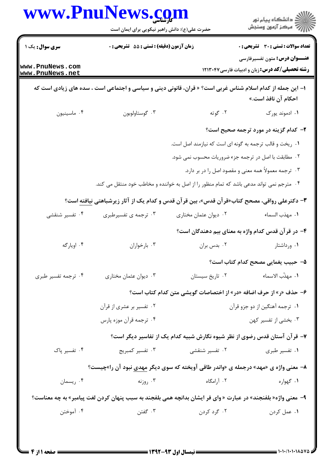|                                    | حضرت علی(ع): دانش راهبر نیکویی برای ایمان است                                                                |                                                         | ڪ دانشڪاه پيام نور<br>ر∕ مرڪز آزمون وسنڊش                                                      |
|------------------------------------|--------------------------------------------------------------------------------------------------------------|---------------------------------------------------------|------------------------------------------------------------------------------------------------|
| <b>سری سوال :</b> یک ۱             | زمان آزمون (دقیقه) : تستی : 55 آتشریحی : 0                                                                   |                                                         | <b>تعداد سوالات : تستی : 30 ٪ تشریحی : 0</b>                                                   |
| www.PnuNews.com<br>www.PnuNews.net |                                                                                                              |                                                         | <b>عنـــوان درس:</b> متون تفسیرفارسی<br><b>رشته تحصیلی/کد درس:</b> زبان و ادبیات فارسی ۱۲۱۳۰۴۷ |
|                                    | ا– این جمله از کدام اسلام شناس غربی است؟ « قران، قانونی دینی و سیاسی و اجتماعی است ، سده های زیادی است که    |                                                         | احکام آن نافذ است.»                                                                            |
| ۰۴ ماسینیون                        | ۰۳ گوستاولوبون                                                                                               | ۰۲ گوته                                                 | ۰۱ ادموند پورک                                                                                 |
|                                    |                                                                                                              |                                                         | <b>۲</b> - کدام گزینه در مورد ترجمه صحیح است؟                                                  |
|                                    |                                                                                                              | ۰۱ ریخت و قالب ترجمه به گونه ای است که نیازمند اصل است. |                                                                                                |
|                                    |                                                                                                              | ۰۲ مطابقت با اصل در ترجمه جزء ضروریات محسوب نمی شود.    |                                                                                                |
|                                    |                                                                                                              |                                                         | ۰۳ ترجمه معمولاً همه معنى و مقصود اصل را در بر دارد.                                           |
|                                    | ۰۴ مترجم نمی تواند مدعی باشد که تمام منظور را از اصل به خواننده و مخاطب خود منتقل می کند.                    |                                                         |                                                                                                |
|                                    | ۳- دکترعلی رواقی، مصحح کتاب«قرآن قدس»، بین قرآن قدس و کدام یک از آثار زیرشباهتی نیافته است؟                  |                                                         |                                                                                                |
| ۰۴ تفسیر شنقشی                     | ۰۳ ترجمه ی تفسیرطبری                                                                                         | ۰۲ دیوان عثمان مختاری                                   | ٠١. مهذب السماء                                                                                |
|                                    |                                                                                                              |                                                         | ۴– در قرآن قدس کدام واژه به معنای بیم دهندگان است؟                                             |
| ۰۴ اويارگه                         | ۰۳ بارخواران                                                                                                 | ٠٢ بدس بران                                             | ۰۱ ورداشتار                                                                                    |
|                                    |                                                                                                              |                                                         | ۵– حبیب یغمایی مصحح کدام کتاب است؟                                                             |
| ۰۴ ترجمه تفسیر طبری                | ۰۳ دیوان عثمان مختاری                                                                                        | ٠٢ تاريخ سيستان                                         | ٠١. مهذّب الاسماء                                                                              |
|                                    |                                                                                                              |                                                         | ۶– حذف «ر» از حرف اضافه «در» از اختصاصات گویشی متن کدام کتاب است؟                              |
|                                    | ۰۲ تفسیر بر عشری از قرآن                                                                                     |                                                         | ۰۱ ترجمه آهنگین از دو جزو قرآن                                                                 |
|                                    | ۰۴ ترجمه قرآن موزه پارس                                                                                      |                                                         | ۰۳ بخشی از تفسیر کهن                                                                           |
|                                    |                                                                                                              |                                                         | ۷– قرآن آستان قدس رضوی از نظر شیوه نگارش شبیه کدام یک از تفاسیر دیگر است؟                      |
| ۰۴ تفسیر یاک                       | ۰۳ تفسیر کمبریج                                                                                              | ۰۲ تفسیر شنقشی                                          | ٠١ تفسير طبري                                                                                  |
|                                    | ۸– معنی واژه ی «مهد» درجمله ی «واندر طاقی آویخته که سوی دیگر <u>مهدی</u> نبود آن را»چیست؟                    |                                                         |                                                                                                |
| ۰۴ ريسمان                          | ۰۳ روزنه                                                                                                     | ۰۲ آرامگاه                                              | ۰۱ گهواره                                                                                      |
|                                    | ۹- معنی واژه« بلفنجند» در عبارت « وای فر ایشان بدانچه همی بلفجند به سبب پنهان کردن لغت پیامبر» به چه معناست؟ |                                                         |                                                                                                |
| ۰۴ آموختن                          | ۰۳ گفتن                                                                                                      | ۰۲ گرد کردن                                             | ۰۱ عمل کردن                                                                                    |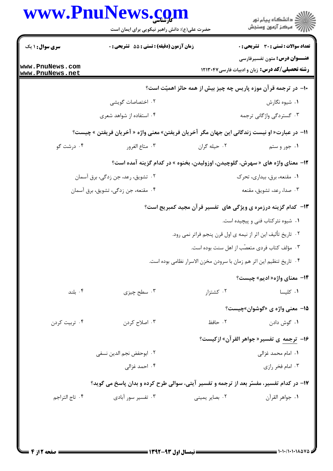|                                    | حضرت علی(ع): دانش راهبر نیکویی برای ایمان است                                               |                                                                               | ڪ دانشڪاه پيا <sub>م</sub> نور<br>∕ مرڪز آزمون وسنڊش                                          |
|------------------------------------|---------------------------------------------------------------------------------------------|-------------------------------------------------------------------------------|-----------------------------------------------------------------------------------------------|
| <b>سری سوال : ۱ یک</b>             | زمان آزمون (دقيقه) : تستى : 55 تشريحى : 0                                                   |                                                                               | <b>تعداد سوالات : تستی : 30 ٪ تشریحی : 0</b>                                                  |
| www.PnuNews.com<br>www.PnuNews.net |                                                                                             |                                                                               | <b>عنـــوان درس:</b> متون تفسیرفارسی<br><b>رشته تحصیلی/کد درس:</b> زبان و ادبیات فارسی۱۲۱۳۰۴۷ |
|                                    |                                                                                             | ∙۱- در ترجمه قرآن موزه پاریس چه چیز بیش از همه حائز اهمیّت است؟               |                                                                                               |
|                                    | ۰۲ اختصاصات گویشی                                                                           |                                                                               | ۰۱ شیوه نگارش                                                                                 |
|                                    | ۰۴ استفاده از شواهد شعری                                                                    |                                                                               | ۰۳ گستردگی واژگانی ترجمه                                                                      |
|                                    | 11− در عبارت« او نیست زندگانی این جهان مگر آخریان فریفتن» معنی واژه « آخریان فریفتن » چیست؟ |                                                                               |                                                                                               |
| ۰۴ درشت گو                         | ۰۳ متاع الغرور                                                                              | ٠٢ حيله گران                                                                  | ۰۱ جور و ستم                                                                                  |
|                                    |                                                                                             | ۱۲- معنای واژه های « سهرش، گلوچیدن، اوزولیدن، بخنوه » در کدام گزینه آمده است؟ |                                                                                               |
|                                    | ۰۲ تشویق، رعد، جن زدگی، برق آسمان                                                           |                                                                               | ۰۱ مقنعه، برق، بیداری، تحرک                                                                   |
|                                    | ۰۴ مقنعه، جن زدگی، تشویق، برق آسمان                                                         |                                                                               | ۰۳ صدا، رعد، تشويق، مقنعه                                                                     |
|                                    |                                                                                             | ۱۳- کدام گزینه درزمره ی ویژگی های تفسیر قرآن مجید کمبریج است؟                 |                                                                                               |
|                                    |                                                                                             |                                                                               | ۰۱ شیوه نثر کتاب فنی و پیچیده است.                                                            |
|                                    |                                                                                             | ۰۲ تاریخ تألیف این اثر از نیمه ی اول قرن پنجم فراتر نمی رود.                  |                                                                                               |
|                                    |                                                                                             |                                                                               | ۰۳ مؤلف کتاب فردی متعصّب از اهل سنت بوده است.                                                 |
|                                    |                                                                                             | ۰۴ تاريخ تنظيم اين اثر هم زمان با سرودن مخزن الاسرار نظامي بوده است.          |                                                                                               |
|                                    |                                                                                             |                                                                               | <b>۱۴</b> معنای واژه« ادیم» چیست؟                                                             |
| ۰۴ بلند                            | ۰۳ سطح چيزې                                                                                 | ۰۲ کشتزار                                                                     | ۰۱ کلیسا                                                                                      |
|                                    |                                                                                             |                                                                               | <b>۱۵</b> - معنی واژه ی «گوشوان»چیست؟                                                         |
| ۰۴ تربیت کردن                      | ۰۳ اصلاح کردن                                                                               | ٢. حافظ                                                                       | ۰۱ گوش دادن                                                                                   |
|                                    |                                                                                             |                                                                               | ۱۶- ترجمه ی تفسیر«جواهر القرآن» ازکیست؟                                                       |
| ٢. ابوحفض نجم الدين نسفى           |                                                                                             |                                                                               | ٠١. امام محمد غزالي                                                                           |
|                                    | ۰۴ احمد غزالی                                                                               |                                                                               | ۰۳ امام فخر رازی                                                                              |
|                                    | ۱۷- در کدام تفسیر، مفسّر بعد از ترجمه و تفسیر آیتی، سوالی طرح کرده و بدان پاسخ می گوید؟     |                                                                               |                                                                                               |
| ۰۴ تاج التراجم                     | ۰۳ تفسیر سور آبادی                                                                          | ۰۲ بصاير يميني                                                                | ٠١. جواهر القرآن                                                                              |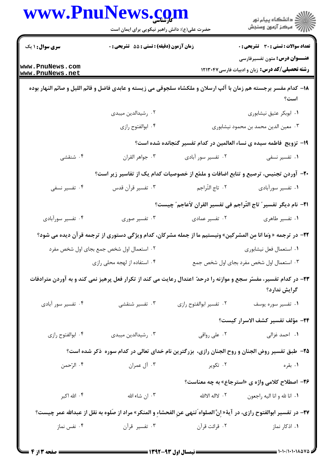|                        | حضرت علی(ع): دانش راهبر نیکویی برای ایمان است                                                                            |                                                                                                                | ِ<br>∭ دانشڪاه پيام نور<br>∭ مرڪز آزمون وسنڊش                                                  |
|------------------------|--------------------------------------------------------------------------------------------------------------------------|----------------------------------------------------------------------------------------------------------------|------------------------------------------------------------------------------------------------|
| <b>سری سوال : ۱ یک</b> | زمان آزمون (دقیقه) : تستی : 55 آتشریحی : 0                                                                               |                                                                                                                | <b>تعداد سوالات : تستی : 30 - تشریحی : 0</b>                                                   |
| www.PnuNews.com        |                                                                                                                          |                                                                                                                | <b>عنـــوان درس:</b> متون تفسیرفارسی<br><b>رشته تحصیلی/کد درس:</b> زبان و ادبیات فارسی ۱۲۱۳۰۴۷ |
| www.PnuNews.net        |                                                                                                                          |                                                                                                                |                                                                                                |
|                        | ۱۸– کدام مفسر برجسته هم زمان با آلپ ارسلان و ملکشاه سلجوقی می زیسته و عابدی فاضل و قائم اللیل و صائم النهار بوده         |                                                                                                                | است؟                                                                                           |
|                        | ۰۲ رشیدالدین میبدی                                                                                                       |                                                                                                                | ٠١ ابوبكر عتيق نيشابوري                                                                        |
|                        | ۰۴ ابوالفتوح رازى                                                                                                        |                                                                                                                | ۰۳ معین الدین محمد بن محمود نیشابوری                                                           |
|                        |                                                                                                                          | ۱۹- تزویج ًفاطمه سیده ی نساء العالمین در کدام تفسیر گنجانده شده است؟                                           |                                                                                                |
| ۰۴ شنقشی               | ٠٣ جواهر القران                                                                                                          | ۰۲ تفسیر سور آبادی                                                                                             | ۰۱ تفسیر نسفی                                                                                  |
|                        | +۲- آوردن تجنیس، ترصیع و تتابع اضافات و ملمّع از خصوصیات کدام یک از تفاسیر زیر است؟                                      |                                                                                                                |                                                                                                |
| ۰۴ تفسیر نسفی          | ۰۳ تفسیر قرآن قدس                                                                                                        | ۰۲ تاج التّراجم                                                                                                | ۰۱ تفسیر سورآبادی                                                                              |
|                        |                                                                                                                          | 21− نام دیگر تفسیر ؒ تاج التّراجم فی تفسیر القران لاَعاجم ؒ چیست؟                                              |                                                                                                |
| ۰۴ تفسیر سورآبادی      | ۰۳ تفسیر صوری                                                                                                            | ۰۲ تفسیر عمادی                                                                                                 | ۰۱ تفسیر طاهری                                                                                 |
|                        | <b>۲۲</b> - در ترجمه « وَما انا مِن المشركين» ونيستيم ما از جمله مشركان، كدام ويژگي دستوري از ترجمه قرآن ديده مي شود؟    |                                                                                                                |                                                                                                |
|                        | ۰۲ استعمال اول شخص جمع بجای اول شخص مفرد                                                                                 |                                                                                                                | ۰۱ استعمال فعل نيشابوري                                                                        |
|                        | ۰۴ استفاده از لهجه محلی رازی                                                                                             |                                                                                                                | ۰۳ استعمال اول شخص مفرد بجای اول شخص جمع                                                       |
|                        | ۲۳– در کدام تفسیر، مفسّر سجع و موازنه را درحدّ اعتدال رعایت می کند از تکرار فعل پرهیز نمی کند و به آوردن مترادفات        |                                                                                                                | گرایش ندارد؟                                                                                   |
| ۰۴ تفسیر سور آبادی     | ۰۳ تفسیر شنقشی                                                                                                           | ٠٢ تفسير ابوالفتوح رازى                                                                                        | ۰۱ تفسیر سوره یوسف                                                                             |
|                        |                                                                                                                          |                                                                                                                | ٢۴- مؤلف تفسير كشف الاسرار كيست؟                                                               |
| ۰۴ ابوالفتوح رازى      | ۰۳ رشیدالدین میبدی                                                                                                       | ۰۲ علی رواقی                                                                                                   | ۰۱ احمد غزالی                                                                                  |
|                        | ۲۵- طبق تفسیر روض الجنان و روح الجنان رازی، بزرگترین نام خدای تعالی در کدام سوره ذکر شده است؟                            |                                                                                                                |                                                                                                |
| ۰۴ الرّحمن             | ۰۳ آل عمران                                                                                                              | ۰۲ تکویر                                                                                                       | ۰۱ بقره                                                                                        |
|                        |                                                                                                                          |                                                                                                                | <b>۳۶- اصطلاح کلامی واژه ی «استرجاع» به چه معناست؟</b>                                         |
| ۰۴ الله اکبر           | ۰۳ ان شاء الله                                                                                                           | ٢. لااله الاالله                                                                                               | ٠١ انا لله و انا اليه راجعون                                                                   |
|                        | 77- در تفسير ابوالفتوح رازي، در آية« إنَّ الصلواه َتنهي عنِ الفحشاءِ و المنكر» مراد از صَلوه به نقل از عبدالله عمر چيست؟ |                                                                                                                |                                                                                                |
| ۰۴ نفس نماز            |                                                                                                                          | ۰۱ اذکار نماز مسیر قرآن است کا تفسیر قرآن است کا تفسیر قرآن است کا مقابل است که است که است که است که است که اس |                                                                                                |